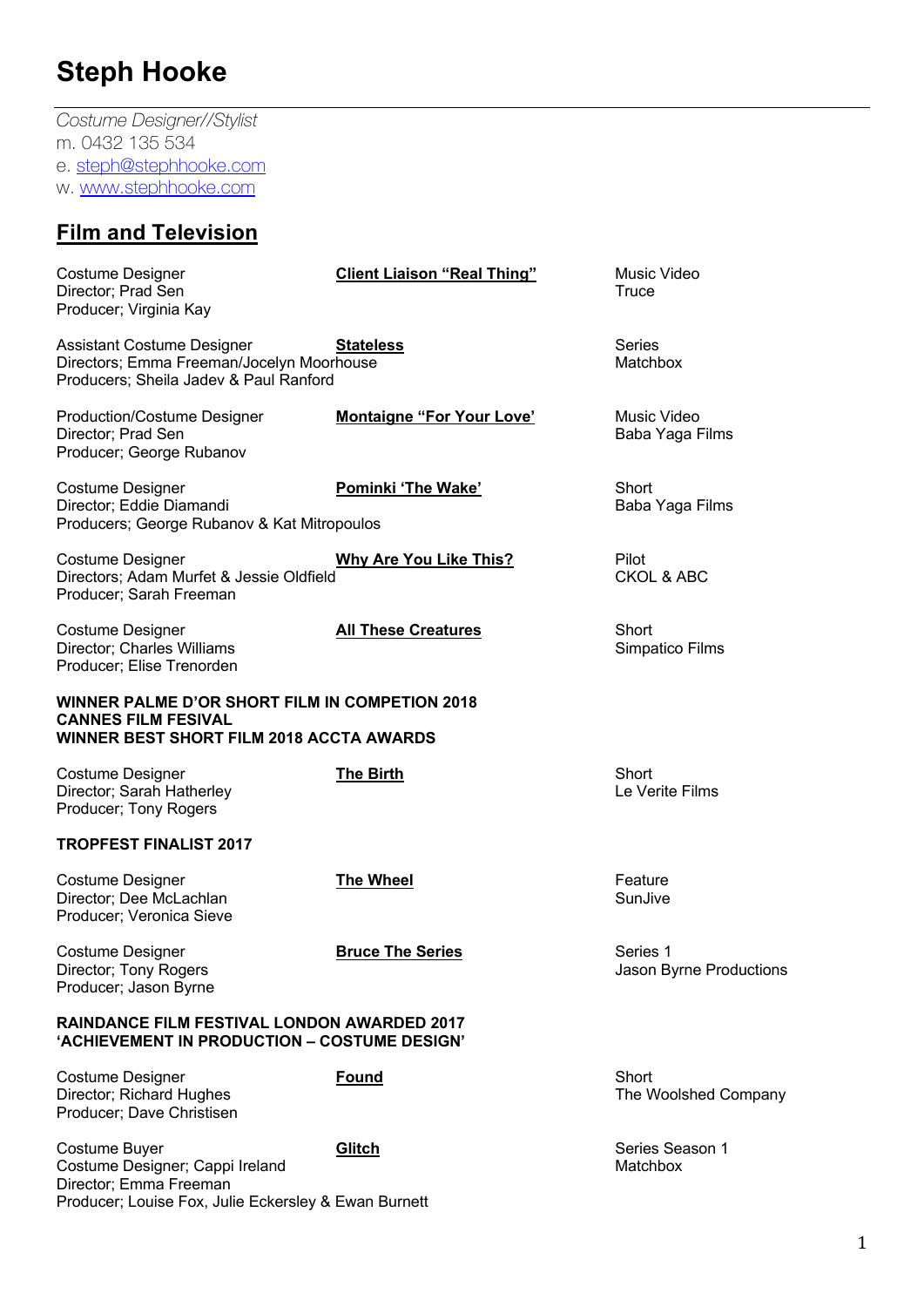*Costume Designer//Stylist* m. 0432 135 534 e. steph@stephhooke.com w. www.stephhooke.com

### **Film and Television**

| <b>Costume Designer</b><br>Director; Prad Sen<br>Producer; Virginia Kay                                                                | <b>Client Liaison "Real Thing"</b> | Music Video<br>Truce                |
|----------------------------------------------------------------------------------------------------------------------------------------|------------------------------------|-------------------------------------|
| <b>Assistant Costume Designer</b><br>Directors; Emma Freeman/Jocelyn Moorhouse<br>Producers; Sheila Jadev & Paul Ranford               | <b>Stateless</b>                   | <b>Series</b><br><b>Matchbox</b>    |
| <b>Production/Costume Designer</b><br>Director; Prad Sen<br>Producer; George Rubanov                                                   | <b>Montaigne "For Your Love"</b>   | Music Video<br>Baba Yaga Films      |
| <b>Costume Designer</b><br>Director; Eddie Diamandi<br>Producers; George Rubanov & Kat Mitropoulos                                     | <b>Pominki 'The Wake'</b>          | Short<br>Baba Yaga Films            |
| <b>Costume Designer</b><br>Directors; Adam Murfet & Jessie Oldfield<br>Producer; Sarah Freeman                                         | <b>Why Are You Like This?</b>      | Pilot<br><b>CKOL &amp; ABC</b>      |
| <b>Costume Designer</b><br>Director; Charles Williams<br>Producer; Elise Trenorden                                                     | <b>All These Creatures</b>         | Short<br>Simpatico Films            |
| <b>WINNER PALME D'OR SHORT FILM IN COMPETION 2018</b><br><b>CANNES FILM FESIVAL</b><br><b>WINNER BEST SHORT FILM 2018 ACCTA AWARDS</b> |                                    |                                     |
| <b>Costume Designer</b><br>Director; Sarah Hatherley<br>Producer; Tony Rogers                                                          | <b>The Birth</b>                   | Short<br>Le Verite Films            |
| <b>TROPFEST FINALIST 2017</b>                                                                                                          |                                    |                                     |
| <b>Costume Designer</b><br>Director; Dee McLachlan<br>Producer; Veronica Sieve                                                         | The Wheel                          | Feature<br>SunJive                  |
| Costume Designer<br>Director; Tony Rogers<br>Producer; Jason Byrne                                                                     | <b>Bruce The Series</b>            | Series 1<br>Jason Byrne Productions |
| <b>RAINDANCE FILM FESTIVAL LONDON AWARDED 2017</b><br>'ACHIEVEMENT IN PRODUCTION - COSTUME DESIGN'                                     |                                    |                                     |
| <b>Costume Designer</b><br>Director; Richard Hughes<br>Producer; Dave Christisen                                                       | <b>Found</b>                       | Short<br>The Woolshed Company       |
| Costume Buyer<br>Costume Designer; Cappi Ireland<br>Director; Emma Freeman<br>Producer; Louise Fox, Julie Eckersley & Ewan Burnett     | Glitch                             | Series Season 1<br>Matchbox         |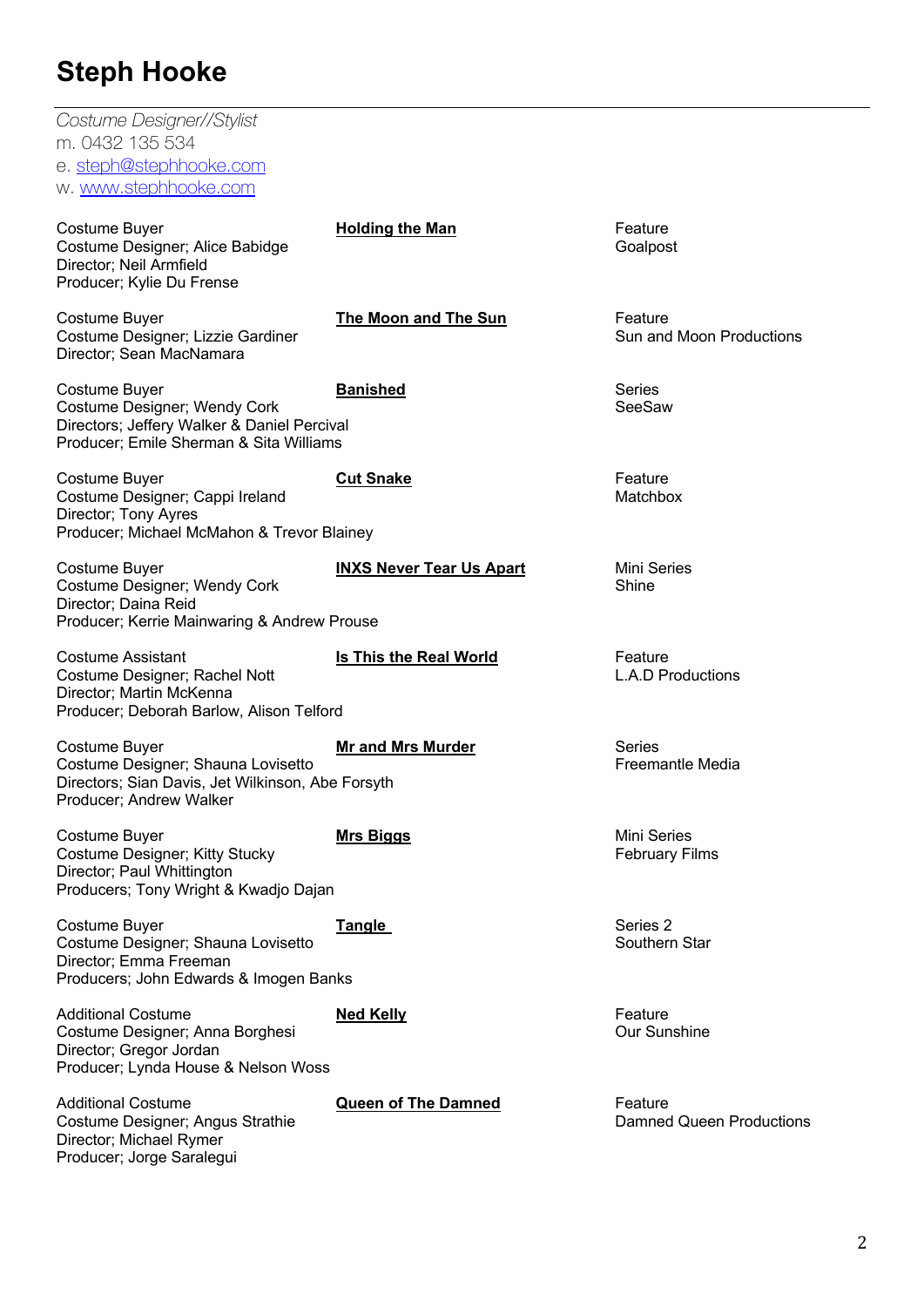| Costume Designer//Stylist<br>m. 0432 135 534<br>e. steph@stephhooke.com<br>w. www.stephhooke.com                                        |                                 |                                             |
|-----------------------------------------------------------------------------------------------------------------------------------------|---------------------------------|---------------------------------------------|
| Costume Buyer<br>Costume Designer; Alice Babidge<br>Director; Neil Armfield<br>Producer; Kylie Du Frense                                | <b>Holding the Man</b>          | Feature<br>Goalpost                         |
| Costume Buyer<br>Costume Designer; Lizzie Gardiner<br>Director; Sean MacNamara                                                          | The Moon and The Sun            | Feature<br>Sun and Moon Productions         |
| Costume Buyer<br>Costume Designer; Wendy Cork<br>Directors; Jeffery Walker & Daniel Percival<br>Producer; Emile Sherman & Sita Williams | <b>Banished</b>                 | <b>Series</b><br>SeeSaw                     |
| Costume Buyer<br>Costume Designer; Cappi Ireland<br>Director; Tony Ayres<br>Producer; Michael McMahon & Trevor Blainey                  | <b>Cut Snake</b>                | Feature<br>Matchbox                         |
| Costume Buyer<br>Costume Designer; Wendy Cork<br>Director; Daina Reid<br>Producer; Kerrie Mainwaring & Andrew Prouse                    | <b>INXS Never Tear Us Apart</b> | <b>Mini Series</b><br>Shine                 |
| <b>Costume Assistant</b><br>Costume Designer; Rachel Nott<br>Director; Martin McKenna<br>Producer; Deborah Barlow, Alison Telford       | <b>Is This the Real World</b>   | Feature<br><b>L.A.D Productions</b>         |
| Costume Buyer<br>Costume Designer; Shauna Lovisetto<br>Directors; Sian Davis, Jet Wilkinson, Abe Forsyth<br>Producer; Andrew Walker     | <b>Mr and Mrs Murder</b>        | <b>Series</b><br><b>Freemantle Media</b>    |
| Costume Buyer<br>Costume Designer; Kitty Stucky<br>Director; Paul Whittington<br>Producers; Tony Wright & Kwadjo Dajan                  | <b>Mrs Biggs</b>                | <b>Mini Series</b><br><b>February Films</b> |
| Costume Buyer<br>Costume Designer; Shauna Lovisetto<br>Director; Emma Freeman<br>Producers; John Edwards & Imogen Banks                 | <b>Tangle</b>                   | Series 2<br>Southern Star                   |
| <b>Additional Costume</b><br>Costume Designer; Anna Borghesi<br>Director; Gregor Jordan<br>Producer; Lynda House & Nelson Woss          | <b>Ned Kelly</b>                | Feature<br><b>Our Sunshine</b>              |
| <b>Additional Costume</b><br>Costume Designer; Angus Strathie<br>Director; Michael Rymer<br>Producer; Jorge Saralegui                   | <b>Queen of The Damned</b>      | Feature<br><b>Damned Queen Productions</b>  |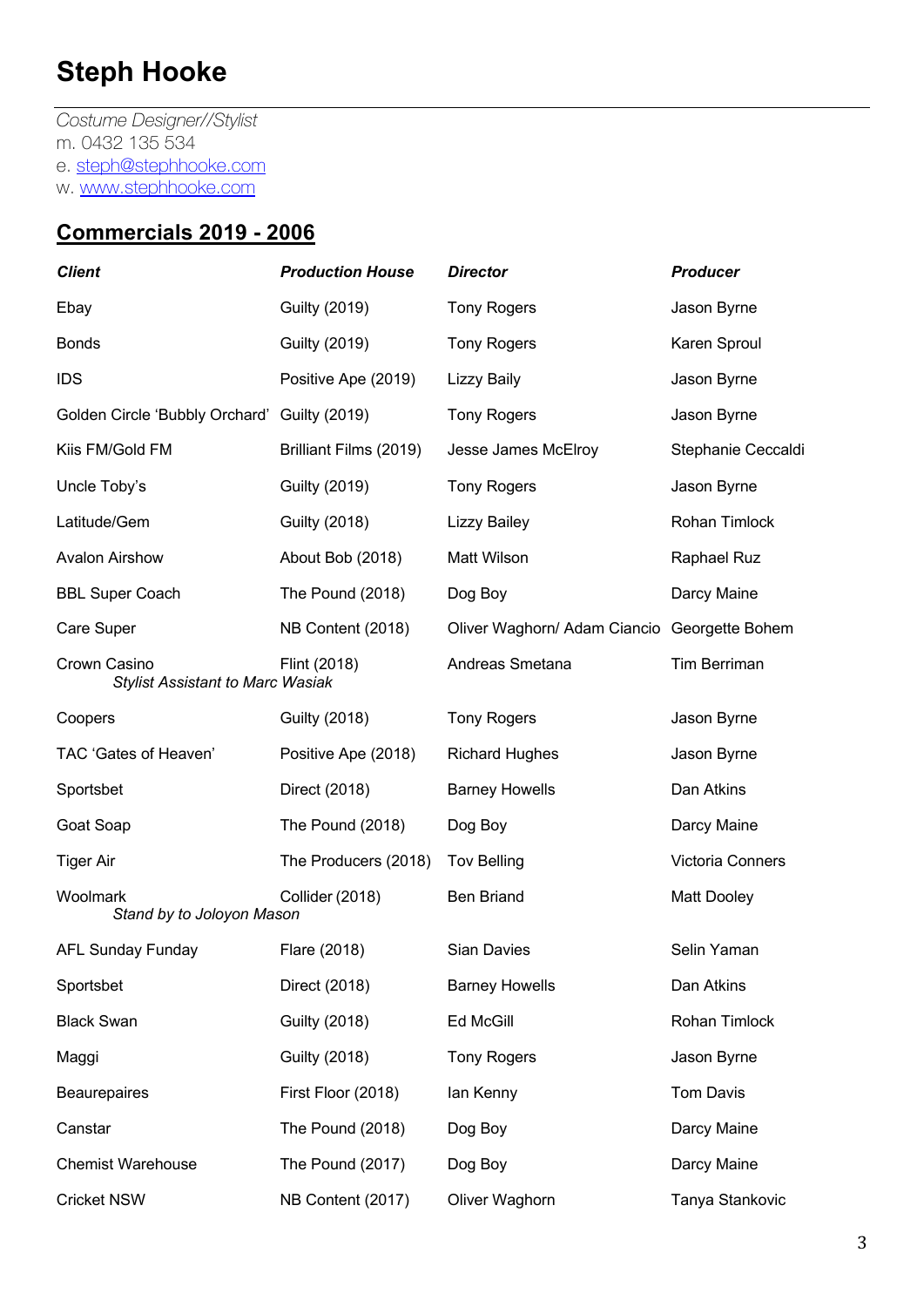*Costume Designer//Stylist* m. 0432 135 534 e. steph@stephhooke.com w. www.stephhooke.com

#### **Commercials 2019 - 2006**

| <b>Client</b>                                           | <b>Production House</b> | <b>Director</b>                              | <b>Producer</b>     |
|---------------------------------------------------------|-------------------------|----------------------------------------------|---------------------|
| Ebay                                                    | <b>Guilty (2019)</b>    | <b>Tony Rogers</b>                           | Jason Byrne         |
| <b>Bonds</b>                                            | <b>Guilty (2019)</b>    | <b>Tony Rogers</b>                           | Karen Sproul        |
| <b>IDS</b>                                              | Positive Ape (2019)     | <b>Lizzy Baily</b>                           | Jason Byrne         |
| Golden Circle 'Bubbly Orchard' Guilty (2019)            |                         | <b>Tony Rogers</b>                           | Jason Byrne         |
| Kiis FM/Gold FM                                         | Brilliant Films (2019)  | Jesse James McElroy                          | Stephanie Ceccaldi  |
| Uncle Toby's                                            | <b>Guilty (2019)</b>    | <b>Tony Rogers</b>                           | Jason Byrne         |
| Latitude/Gem                                            | <b>Guilty (2018)</b>    | <b>Lizzy Bailey</b>                          | Rohan Timlock       |
| <b>Avalon Airshow</b>                                   | About Bob (2018)        | Matt Wilson                                  | Raphael Ruz         |
| <b>BBL Super Coach</b>                                  | The Pound (2018)        | Dog Boy                                      | Darcy Maine         |
| Care Super                                              | NB Content (2018)       | Oliver Waghorn/ Adam Ciancio Georgette Bohem |                     |
| Crown Casino<br><b>Stylist Assistant to Marc Wasiak</b> | Flint (2018)            | Andreas Smetana                              | <b>Tim Berriman</b> |
| Coopers                                                 | <b>Guilty (2018)</b>    | <b>Tony Rogers</b>                           | Jason Byrne         |
| TAC 'Gates of Heaven'                                   | Positive Ape (2018)     | <b>Richard Hughes</b>                        | Jason Byrne         |
| Sportsbet                                               | Direct (2018)           | <b>Barney Howells</b>                        | Dan Atkins          |
| Goat Soap                                               | The Pound (2018)        | Dog Boy                                      | Darcy Maine         |
| Tiger Air                                               | The Producers (2018)    | <b>Tov Belling</b>                           | Victoria Conners    |
| Woolmark<br>Stand by to Joloyon Mason                   | Collider (2018)         | <b>Ben Briand</b>                            | <b>Matt Dooley</b>  |
| <b>AFL Sunday Funday</b>                                | Flare (2018)            | <b>Sian Davies</b>                           | Selin Yaman         |
| Sportsbet                                               | Direct (2018)           | <b>Barney Howells</b>                        | Dan Atkins          |
| <b>Black Swan</b>                                       | <b>Guilty (2018)</b>    | Ed McGill                                    | Rohan Timlock       |
| Maggi                                                   | <b>Guilty (2018)</b>    | <b>Tony Rogers</b>                           | Jason Byrne         |
| <b>Beaurepaires</b>                                     | First Floor (2018)      | lan Kenny                                    | <b>Tom Davis</b>    |
| Canstar                                                 | The Pound (2018)        | Dog Boy                                      | Darcy Maine         |
| <b>Chemist Warehouse</b>                                | The Pound (2017)        | Dog Boy                                      | Darcy Maine         |
| <b>Cricket NSW</b>                                      | NB Content (2017)       | Oliver Waghorn                               | Tanya Stankovic     |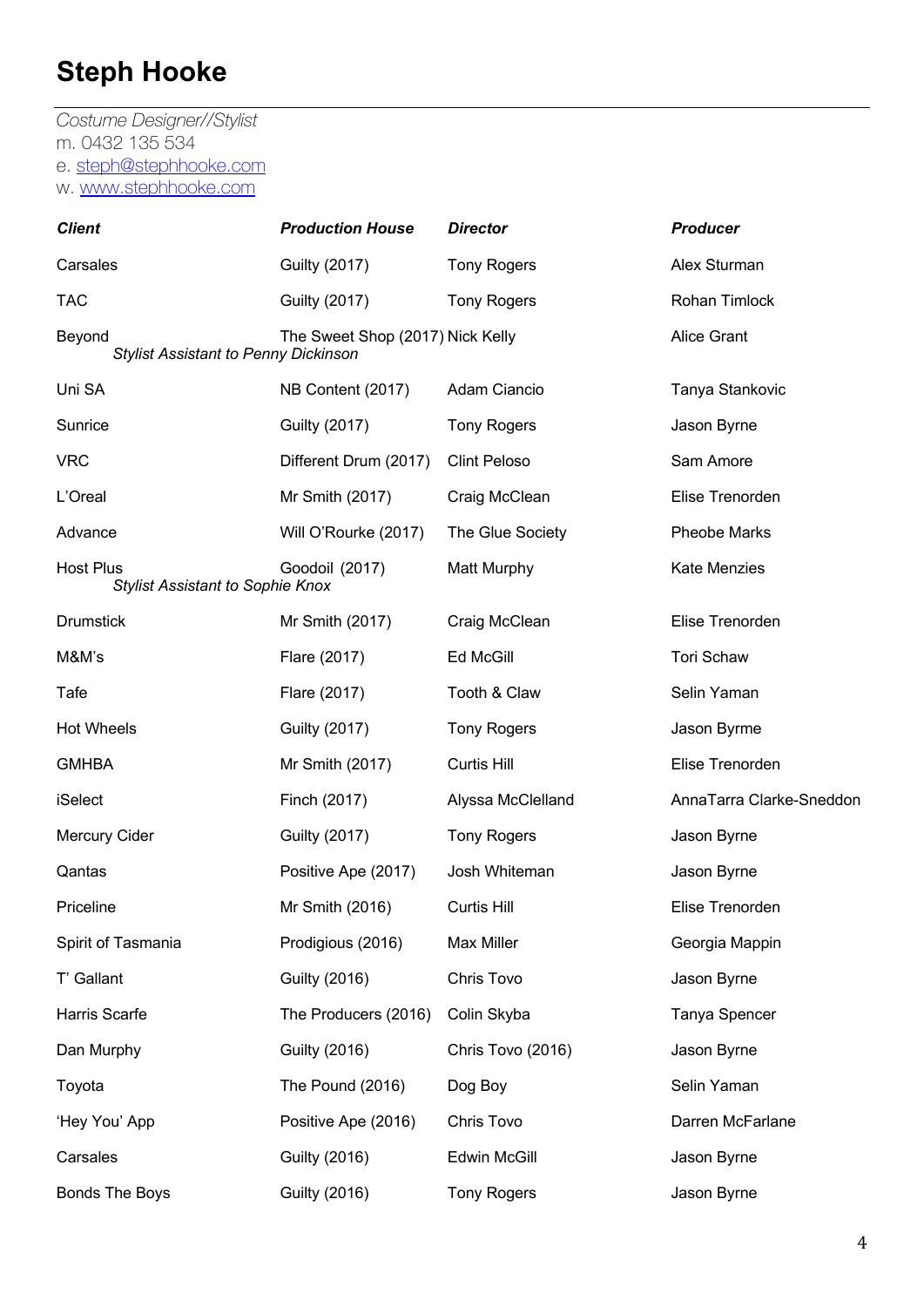*Costume Designer//Stylist* m. 0432 135 534 e. steph@stephhooke.com w. www.stephhooke.com

| <b>Client</b>                                               | <b>Production House</b>          | <b>Director</b>     | <b>Producer</b>          |
|-------------------------------------------------------------|----------------------------------|---------------------|--------------------------|
| Carsales                                                    | <b>Guilty (2017)</b>             | <b>Tony Rogers</b>  | Alex Sturman             |
| <b>TAC</b>                                                  | <b>Guilty (2017)</b>             | <b>Tony Rogers</b>  | Rohan Timlock            |
| Beyond<br><b>Stylist Assistant to Penny Dickinson</b>       | The Sweet Shop (2017) Nick Kelly |                     | <b>Alice Grant</b>       |
| Uni SA                                                      | NB Content (2017)                | Adam Ciancio        | Tanya Stankovic          |
| Sunrice                                                     | <b>Guilty (2017)</b>             | <b>Tony Rogers</b>  | Jason Byrne              |
| <b>VRC</b>                                                  | Different Drum (2017)            | <b>Clint Peloso</b> | Sam Amore                |
| L'Oreal                                                     | Mr Smith (2017)                  | Craig McClean       | Elise Trenorden          |
| Advance                                                     | Will O'Rourke (2017)             | The Glue Society    | <b>Pheobe Marks</b>      |
| <b>Host Plus</b><br><b>Stylist Assistant to Sophie Knox</b> | Goodoil (2017)                   | Matt Murphy         | <b>Kate Menzies</b>      |
| <b>Drumstick</b>                                            | Mr Smith (2017)                  | Craig McClean       | Elise Trenorden          |
| M&M's                                                       | Flare (2017)                     | Ed McGill           | <b>Tori Schaw</b>        |
| Tafe                                                        | Flare (2017)                     | Tooth & Claw        | Selin Yaman              |
| <b>Hot Wheels</b>                                           | <b>Guilty (2017)</b>             | <b>Tony Rogers</b>  | Jason Byrme              |
| <b>GMHBA</b>                                                | Mr Smith (2017)                  | <b>Curtis Hill</b>  | Elise Trenorden          |
| iSelect                                                     | Finch (2017)                     | Alyssa McClelland   | AnnaTarra Clarke-Sneddon |
| Mercury Cider                                               | <b>Guilty (2017)</b>             | <b>Tony Rogers</b>  | Jason Byrne              |
| Qantas                                                      | Positive Ape (2017)              | Josh Whiteman       | Jason Byrne              |
| Priceline                                                   | Mr Smith (2016)                  | Curtis Hill         | Elise Trenorden          |
| Spirit of Tasmania                                          | Prodigious (2016)                | Max Miller          | Georgia Mappin           |
| T' Gallant                                                  | <b>Guilty (2016)</b>             | Chris Tovo          | Jason Byrne              |
| Harris Scarfe                                               | The Producers (2016)             | Colin Skyba         | Tanya Spencer            |
| Dan Murphy                                                  | <b>Guilty (2016)</b>             | Chris Tovo (2016)   | Jason Byrne              |
| Toyota                                                      | The Pound (2016)                 | Dog Boy             | Selin Yaman              |
| 'Hey You' App                                               | Positive Ape (2016)              | Chris Tovo          | Darren McFarlane         |
| Carsales                                                    | <b>Guilty (2016)</b>             | Edwin McGill        | Jason Byrne              |
| <b>Bonds The Boys</b>                                       | <b>Guilty (2016)</b>             | <b>Tony Rogers</b>  | Jason Byrne              |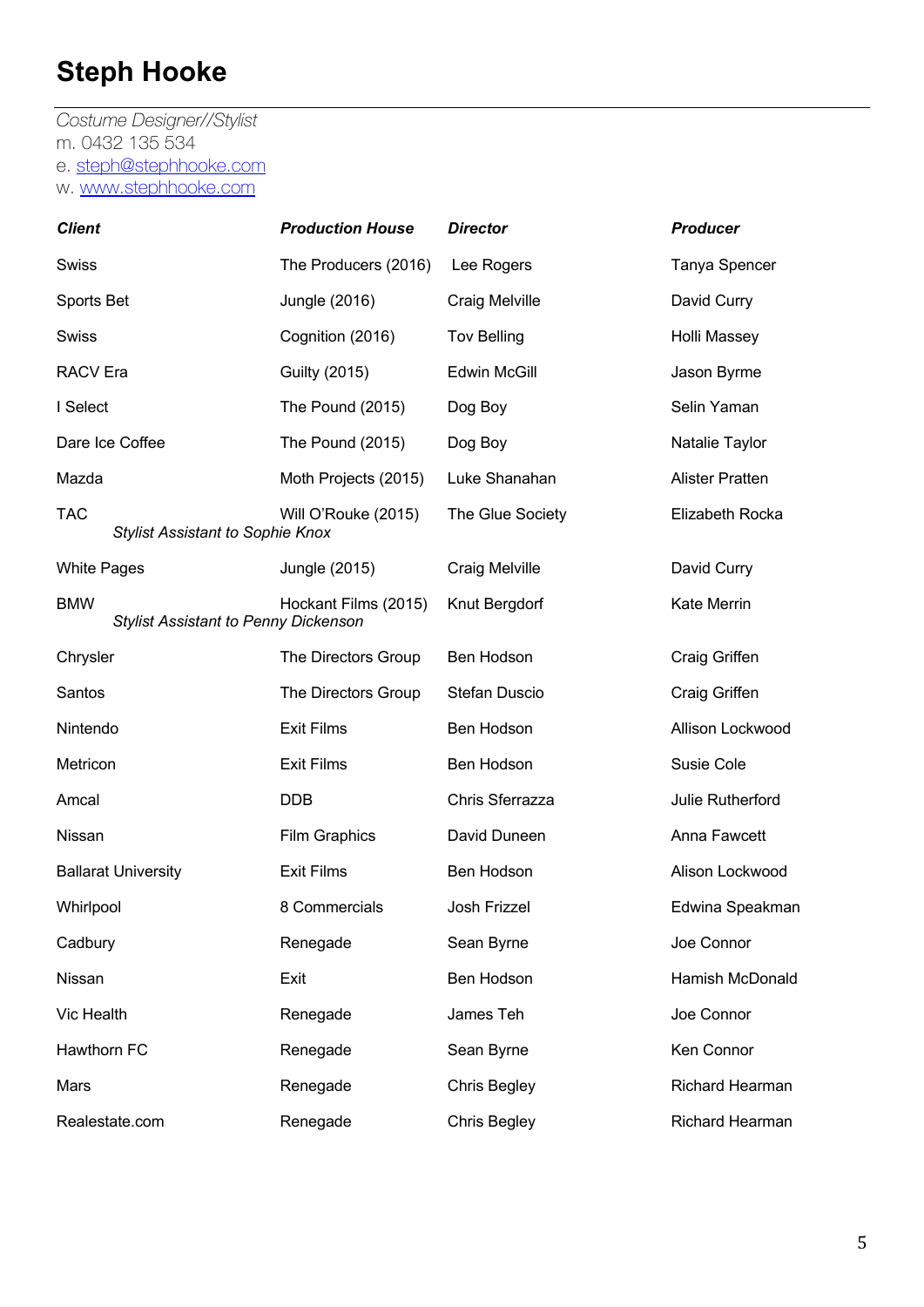*Costume Designer//Stylist* m. 0432 135 534 e. steph@stephhooke.com w. www.stephhooke.com

| <b>Client</b>      |                                             | <b>Production House</b> | <b>Director</b>     | <b>Producer</b>        |
|--------------------|---------------------------------------------|-------------------------|---------------------|------------------------|
| <b>Swiss</b>       |                                             | The Producers (2016)    | Lee Rogers          | Tanya Spencer          |
| Sports Bet         |                                             | Jungle (2016)           | Craig Melville      | David Curry            |
| <b>Swiss</b>       |                                             | Cognition (2016)        | <b>Tov Belling</b>  | Holli Massey           |
| <b>RACV</b> Era    |                                             | <b>Guilty (2015)</b>    | <b>Edwin McGill</b> | Jason Byrme            |
| I Select           |                                             | The Pound (2015)        | Dog Boy             | Selin Yaman            |
|                    | Dare Ice Coffee                             | The Pound (2015)        | Dog Boy             | Natalie Taylor         |
| Mazda              |                                             | Moth Projects (2015)    | Luke Shanahan       | <b>Alister Pratten</b> |
| <b>TAC</b>         | <b>Stylist Assistant to Sophie Knox</b>     | Will O'Rouke (2015)     | The Glue Society    | Elizabeth Rocka        |
| <b>White Pages</b> |                                             | Jungle (2015)           | Craig Melville      | David Curry            |
| <b>BMW</b>         | <b>Stylist Assistant to Penny Dickenson</b> | Hockant Films (2015)    | Knut Bergdorf       | <b>Kate Merrin</b>     |
| Chrysler           |                                             | The Directors Group     | Ben Hodson          | Craig Griffen          |
| Santos             |                                             | The Directors Group     | Stefan Duscio       | Craig Griffen          |
| Nintendo           |                                             | <b>Exit Films</b>       | Ben Hodson          | Allison Lockwood       |
| Metricon           |                                             | <b>Exit Films</b>       | Ben Hodson          | Susie Cole             |
| Amcal              |                                             | <b>DDB</b>              | Chris Sferrazza     | Julie Rutherford       |
| Nissan             |                                             | <b>Film Graphics</b>    | David Duneen        | Anna Fawcett           |
|                    | <b>Ballarat University</b>                  | <b>Exit Films</b>       | Ben Hodson          | Alison Lockwood        |
| Whirlpool          |                                             | 8 Commercials           | Josh Frizzel        | Edwina Speakman        |
| Cadbury            |                                             | Renegade                | Sean Byrne          | Joe Connor             |
| Nissan             |                                             | Exit                    | Ben Hodson          | Hamish McDonald        |
| Vic Health         |                                             | Renegade                | James Teh           | Joe Connor             |
| Hawthorn FC        |                                             | Renegade                | Sean Byrne          | Ken Connor             |
| Mars               |                                             | Renegade                | <b>Chris Begley</b> | Richard Hearman        |
|                    | Realestate.com                              | Renegade                | <b>Chris Begley</b> | Richard Hearman        |